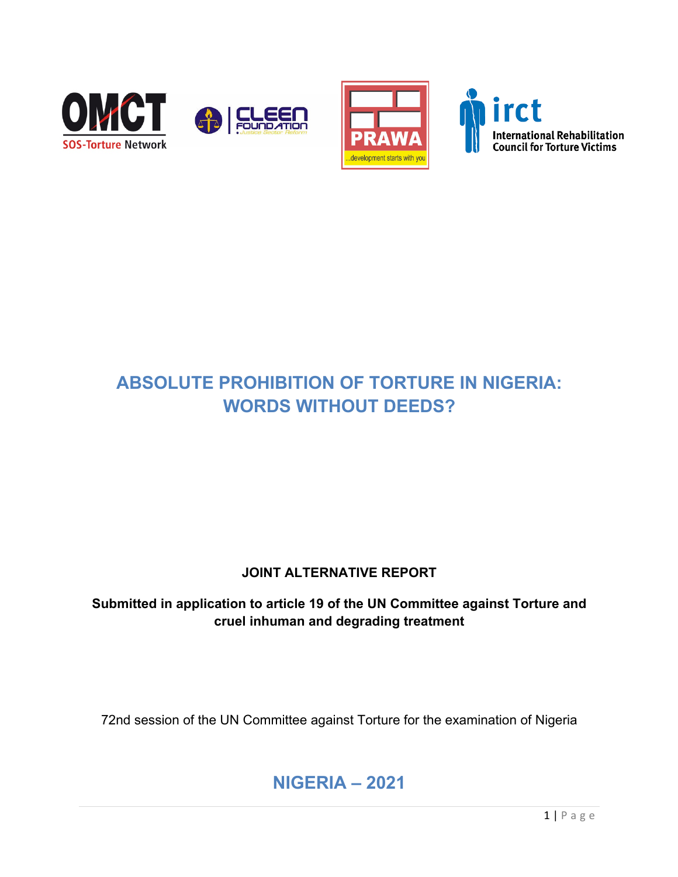





# **ABSOLUTE PROHIBITION OF TORTURE IN NIGERIA: WORDS WITHOUT DEEDS?**

# **JOINT ALTERNATIVE REPORT**

**Submitted in application to article 19 of the UN Committee against Torture and cruel inhuman and degrading treatment**

72nd session of the UN Committee against Torture for the examination of Nigeria

# **NIGERIA – 2021**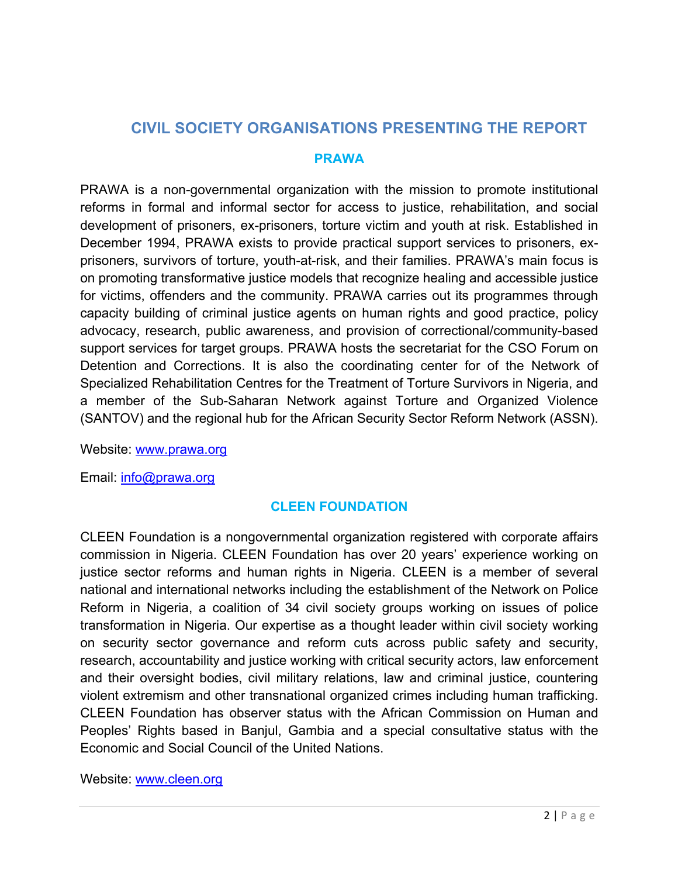# **CIVIL SOCIETY ORGANISATIONS PRESENTING THE REPORT**

### **PRAWA**

PRAWA is a non-governmental organization with the mission to promote institutional reforms in formal and informal sector for access to justice, rehabilitation, and social development of prisoners, ex-prisoners, torture victim and youth at risk. Established in December 1994, PRAWA exists to provide practical support services to prisoners, exprisoners, survivors of torture, youth-at-risk, and their families. PRAWA's main focus is on promoting transformative justice models that recognize healing and accessible justice for victims, offenders and the community. PRAWA carries out its programmes through capacity building of criminal justice agents on human rights and good practice, policy advocacy, research, public awareness, and provision of correctional/community-based support services for target groups. PRAWA hosts the secretariat for the CSO Forum on Detention and Corrections. It is also the coordinating center for of the Network of Specialized Rehabilitation Centres for the Treatment of Torture Survivors in Nigeria, and a member of the Sub-Saharan Network against Torture and Organized Violence (SANTOV) and the regional hub for the African Security Sector Reform Network (ASSN).

Website: www.prawa.org

Email: info@prawa.org

# **CLEEN FOUNDATION**

CLEEN Foundation is a nongovernmental organization registered with corporate affairs commission in Nigeria. CLEEN Foundation has over 20 years' experience working on justice sector reforms and human rights in Nigeria. CLEEN is a member of several national and international networks including the establishment of the Network on Police Reform in Nigeria, a coalition of 34 civil society groups working on issues of police transformation in Nigeria. Our expertise as a thought leader within civil society working on security sector governance and reform cuts across public safety and security, research, accountability and justice working with critical security actors, law enforcement and their oversight bodies, civil military relations, law and criminal justice, countering violent extremism and other transnational organized crimes including human trafficking. CLEEN Foundation has observer status with the African Commission on Human and Peoples' Rights based in Banjul, Gambia and a special consultative status with the Economic and Social Council of the United Nations.

Website: www.cleen.org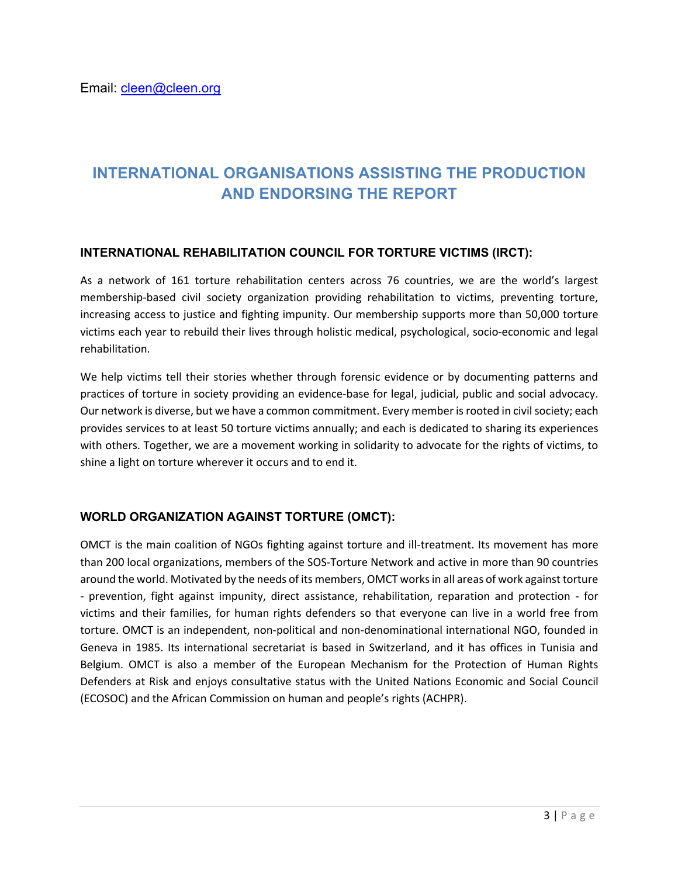# **INTERNATIONAL ORGANISATIONS ASSISTING THE PRODUCTION AND ENDORSING THE REPORT**

#### **INTERNATIONAL REHABILITATION COUNCIL FOR TORTURE VICTIMS (IRCT):**

As a network of 161 torture rehabilitation centers across 76 countries, we are the world's largest membership-based civil society organization providing rehabilitation to victims, preventing torture, increasing access to justice and fighting impunity. Our membership supports more than 50,000 torture victims each year to rebuild their lives through holistic medical, psychological, socio-economic and legal rehabilitation.

We help victims tell their stories whether through forensic evidence or by documenting patterns and practices of torture in society providing an evidence-base for legal, judicial, public and social advocacy. Our network is diverse, but we have a common commitment. Every member is rooted in civil society; each provides services to at least 50 torture victims annually; and each is dedicated to sharing its experiences with others. Together, we are a movement working in solidarity to advocate for the rights of victims, to shine a light on torture wherever it occurs and to end it.

## **WORLD ORGANIZATION AGAINST TORTURE (OMCT):**

OMCT is the main coalition of NGOs fighting against torture and ill-treatment. Its movement has more than 200 local organizations, members of the SOS-Torture Network and active in more than 90 countries around the world. Motivated by the needs of its members, OMCT works in all areas of work against torture - prevention, fight against impunity, direct assistance, rehabilitation, reparation and protection - for victims and their families, for human rights defenders so that everyone can live in a world free from torture. OMCT is an independent, non-political and non-denominational international NGO, founded in Geneva in 1985. Its international secretariat is based in Switzerland, and it has offices in Tunisia and Belgium. OMCT is also a member of the European Mechanism for the Protection of Human Rights Defenders at Risk and enjoys consultative status with the United Nations Economic and Social Council (ECOSOC) and the African Commission on human and people's rights (ACHPR).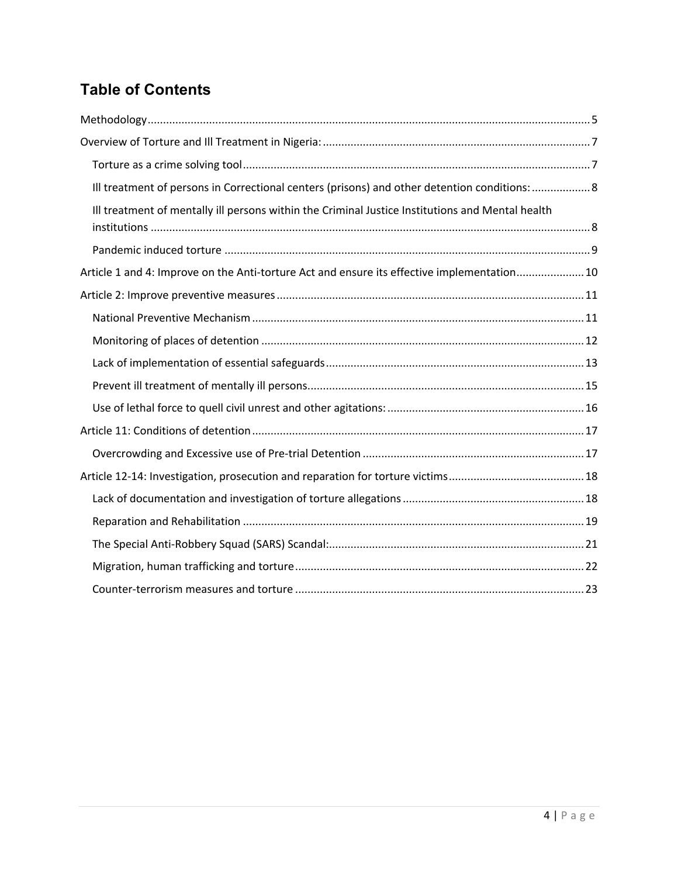# **Table of Contents**

| Ill treatment of persons in Correctional centers (prisons) and other detention conditions:  8    |
|--------------------------------------------------------------------------------------------------|
| Ill treatment of mentally ill persons within the Criminal Justice Institutions and Mental health |
|                                                                                                  |
| Article 1 and 4: Improve on the Anti-torture Act and ensure its effective implementation10       |
|                                                                                                  |
|                                                                                                  |
|                                                                                                  |
|                                                                                                  |
|                                                                                                  |
|                                                                                                  |
|                                                                                                  |
|                                                                                                  |
|                                                                                                  |
|                                                                                                  |
|                                                                                                  |
|                                                                                                  |
|                                                                                                  |
|                                                                                                  |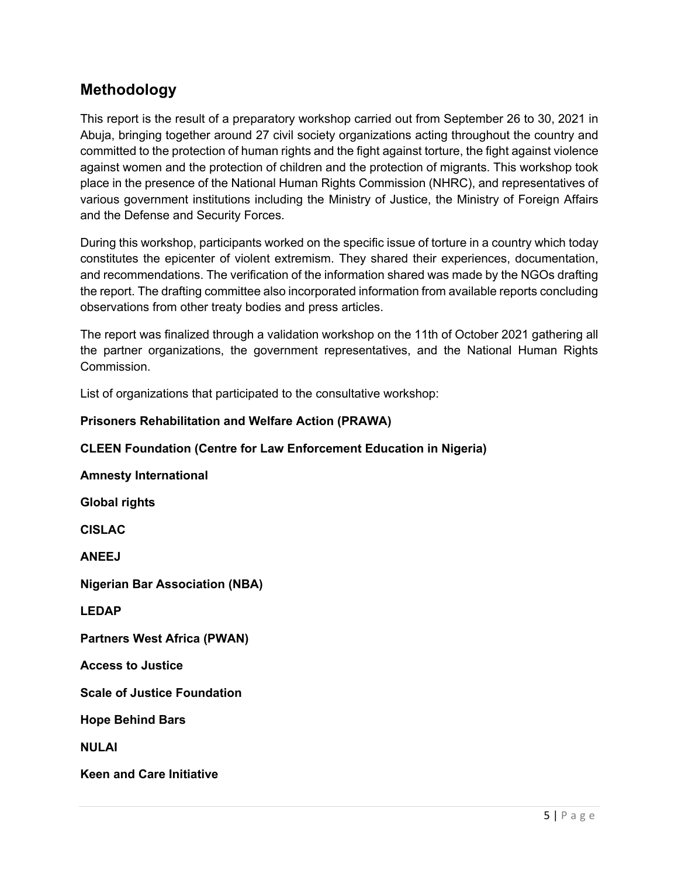# **Methodology**

This report is the result of a preparatory workshop carried out from September 26 to 30, 2021 in Abuja, bringing together around 27 civil society organizations acting throughout the country and committed to the protection of human rights and the fight against torture, the fight against violence against women and the protection of children and the protection of migrants. This workshop took place in the presence of the National Human Rights Commission (NHRC), and representatives of various government institutions including the Ministry of Justice, the Ministry of Foreign Affairs and the Defense and Security Forces.

During this workshop, participants worked on the specific issue of torture in a country which today constitutes the epicenter of violent extremism. They shared their experiences, documentation, and recommendations. The verification of the information shared was made by the NGOs drafting the report. The drafting committee also incorporated information from available reports concluding observations from other treaty bodies and press articles.

The report was finalized through a validation workshop on the 11th of October 2021 gathering all the partner organizations, the government representatives, and the National Human Rights Commission.

List of organizations that participated to the consultative workshop:

#### **Prisoners Rehabilitation and Welfare Action (PRAWA)**

#### **CLEEN Foundation (Centre for Law Enforcement Education in Nigeria)**

#### **Amnesty International**

**Global rights** 

**CISLAC**

**ANEEJ** 

**Nigerian Bar Association (NBA)** 

**LEDAP**

**Partners West Africa (PWAN)** 

**Access to Justice** 

**Scale of Justice Foundation** 

**Hope Behind Bars** 

**NULAI** 

**Keen and Care Initiative**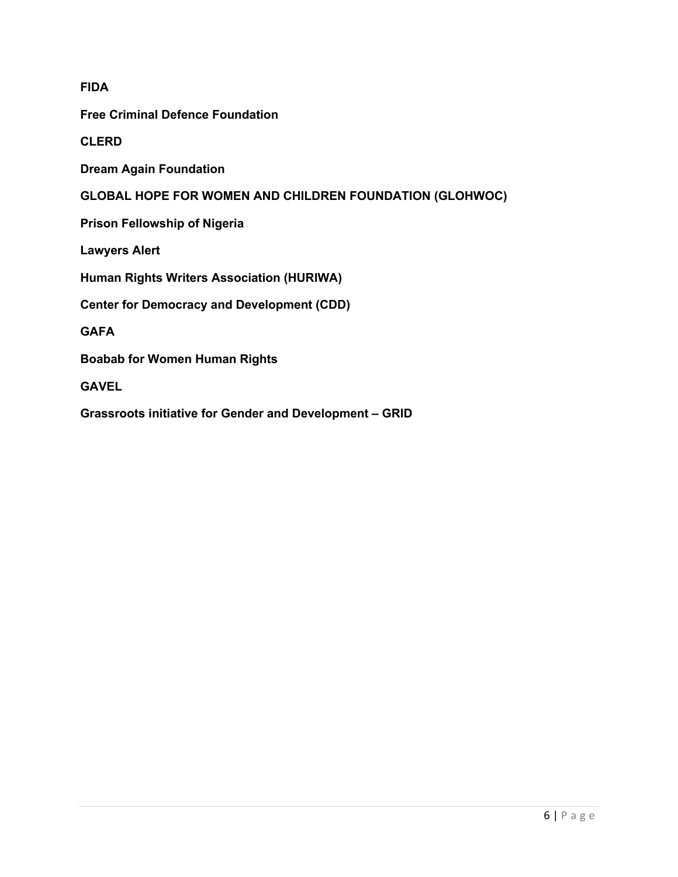## **FIDA**

**Free Criminal Defence Foundation** 

**CLERD** 

**Dream Again Foundation** 

**GLOBAL HOPE FOR WOMEN AND CHILDREN FOUNDATION (GLOHWOC)**

**Prison Fellowship of Nigeria**

**Lawyers Alert** 

**Human Rights Writers Association (HURIWA)** 

**Center for Democracy and Development (CDD)**

**GAFA**

**Boabab for Women Human Rights**

**GAVEL**

**Grassroots initiative for Gender and Development – GRID**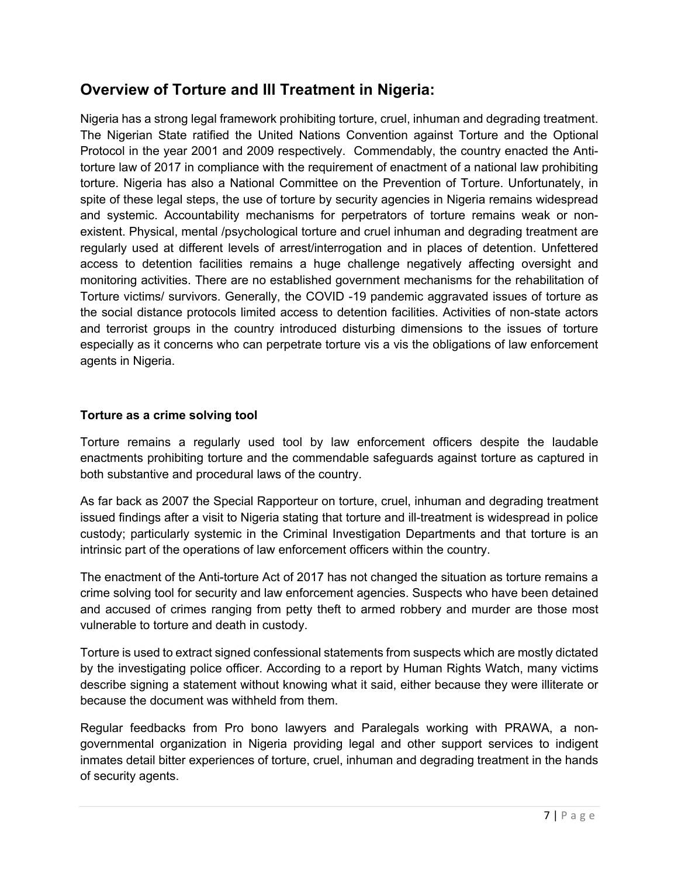# **Overview of Torture and Ill Treatment in Nigeria:**

Nigeria has a strong legal framework prohibiting torture, cruel, inhuman and degrading treatment. The Nigerian State ratified the United Nations Convention against Torture and the Optional Protocol in the year 2001 and 2009 respectively. Commendably, the country enacted the Antitorture law of 2017 in compliance with the requirement of enactment of a national law prohibiting torture. Nigeria has also a National Committee on the Prevention of Torture. Unfortunately, in spite of these legal steps, the use of torture by security agencies in Nigeria remains widespread and systemic. Accountability mechanisms for perpetrators of torture remains weak or nonexistent. Physical, mental /psychological torture and cruel inhuman and degrading treatment are regularly used at different levels of arrest/interrogation and in places of detention. Unfettered access to detention facilities remains a huge challenge negatively affecting oversight and monitoring activities. There are no established government mechanisms for the rehabilitation of Torture victims/ survivors. Generally, the COVID -19 pandemic aggravated issues of torture as the social distance protocols limited access to detention facilities. Activities of non-state actors and terrorist groups in the country introduced disturbing dimensions to the issues of torture especially as it concerns who can perpetrate torture vis a vis the obligations of law enforcement agents in Nigeria.

## **Torture as a crime solving tool**

Torture remains a regularly used tool by law enforcement officers despite the laudable enactments prohibiting torture and the commendable safeguards against torture as captured in both substantive and procedural laws of the country.

As far back as 2007 the Special Rapporteur on torture, cruel, inhuman and degrading treatment issued findings after a visit to Nigeria stating that torture and ill-treatment is widespread in police custody; particularly systemic in the Criminal Investigation Departments and that torture is an intrinsic part of the operations of law enforcement officers within the country.

The enactment of the Anti-torture Act of 2017 has not changed the situation as torture remains a crime solving tool for security and law enforcement agencies. Suspects who have been detained and accused of crimes ranging from petty theft to armed robbery and murder are those most vulnerable to torture and death in custody.

Torture is used to extract signed confessional statements from suspects which are mostly dictated by the investigating police officer. According to a report by Human Rights Watch, many victims describe signing a statement without knowing what it said, either because they were illiterate or because the document was withheld from them.

Regular feedbacks from Pro bono lawyers and Paralegals working with PRAWA, a nongovernmental organization in Nigeria providing legal and other support services to indigent inmates detail bitter experiences of torture, cruel, inhuman and degrading treatment in the hands of security agents.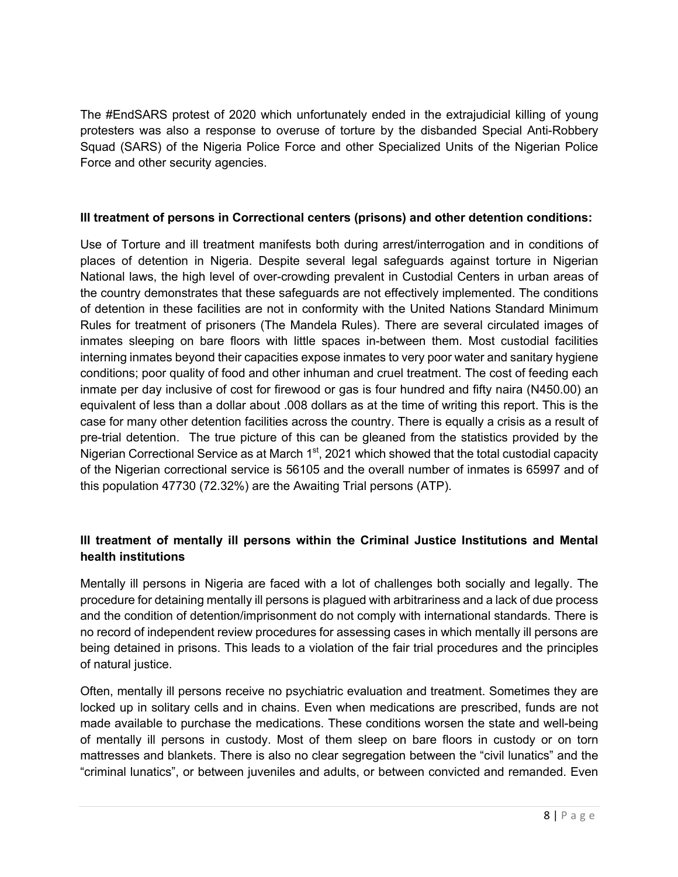The #EndSARS protest of 2020 which unfortunately ended in the extrajudicial killing of young protesters was also a response to overuse of torture by the disbanded Special Anti-Robbery Squad (SARS) of the Nigeria Police Force and other Specialized Units of the Nigerian Police Force and other security agencies.

#### **Ill treatment of persons in Correctional centers (prisons) and other detention conditions:**

Use of Torture and ill treatment manifests both during arrest/interrogation and in conditions of places of detention in Nigeria. Despite several legal safeguards against torture in Nigerian National laws, the high level of over-crowding prevalent in Custodial Centers in urban areas of the country demonstrates that these safeguards are not effectively implemented. The conditions of detention in these facilities are not in conformity with the United Nations Standard Minimum Rules for treatment of prisoners (The Mandela Rules). There are several circulated images of inmates sleeping on bare floors with little spaces in-between them. Most custodial facilities interning inmates beyond their capacities expose inmates to very poor water and sanitary hygiene conditions; poor quality of food and other inhuman and cruel treatment. The cost of feeding each inmate per day inclusive of cost for firewood or gas is four hundred and fifty naira (N450.00) an equivalent of less than a dollar about .008 dollars as at the time of writing this report. This is the case for many other detention facilities across the country. There is equally a crisis as a result of pre-trial detention. The true picture of this can be gleaned from the statistics provided by the Nigerian Correctional Service as at March  $1<sup>st</sup>$ , 2021 which showed that the total custodial capacity of the Nigerian correctional service is 56105 and the overall number of inmates is 65997 and of this population 47730 (72.32%) are the Awaiting Trial persons (ATP).

# **Ill treatment of mentally ill persons within the Criminal Justice Institutions and Mental health institutions**

Mentally ill persons in Nigeria are faced with a lot of challenges both socially and legally. The procedure for detaining mentally ill persons is plagued with arbitrariness and a lack of due process and the condition of detention/imprisonment do not comply with international standards. There is no record of independent review procedures for assessing cases in which mentally ill persons are being detained in prisons. This leads to a violation of the fair trial procedures and the principles of natural justice.

Often, mentally ill persons receive no psychiatric evaluation and treatment. Sometimes they are locked up in solitary cells and in chains. Even when medications are prescribed, funds are not made available to purchase the medications. These conditions worsen the state and well-being of mentally ill persons in custody. Most of them sleep on bare floors in custody or on torn mattresses and blankets. There is also no clear segregation between the "civil lunatics" and the "criminal lunatics", or between juveniles and adults, or between convicted and remanded. Even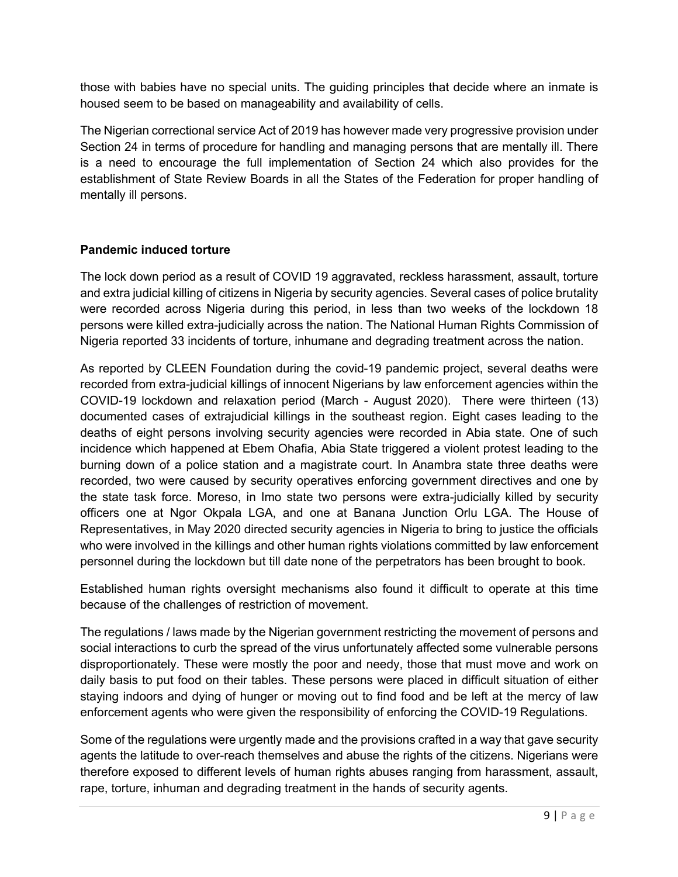those with babies have no special units. The guiding principles that decide where an inmate is housed seem to be based on manageability and availability of cells.

The Nigerian correctional service Act of 2019 has however made very progressive provision under Section 24 in terms of procedure for handling and managing persons that are mentally ill. There is a need to encourage the full implementation of Section 24 which also provides for the establishment of State Review Boards in all the States of the Federation for proper handling of mentally ill persons.

# **Pandemic induced torture**

The lock down period as a result of COVID 19 aggravated, reckless harassment, assault, torture and extra judicial killing of citizens in Nigeria by security agencies. Several cases of police brutality were recorded across Nigeria during this period, in less than two weeks of the lockdown 18 persons were killed extra-judicially across the nation. The National Human Rights Commission of Nigeria reported 33 incidents of torture, inhumane and degrading treatment across the nation.

As reported by CLEEN Foundation during the covid-19 pandemic project, several deaths were recorded from extra-judicial killings of innocent Nigerians by law enforcement agencies within the COVID-19 lockdown and relaxation period (March - August 2020). There were thirteen (13) documented cases of extrajudicial killings in the southeast region. Eight cases leading to the deaths of eight persons involving security agencies were recorded in Abia state. One of such incidence which happened at Ebem Ohafia, Abia State triggered a violent protest leading to the burning down of a police station and a magistrate court. In Anambra state three deaths were recorded, two were caused by security operatives enforcing government directives and one by the state task force. Moreso, in Imo state two persons were extra-judicially killed by security officers one at Ngor Okpala LGA, and one at Banana Junction Orlu LGA. The House of Representatives, in May 2020 directed security agencies in Nigeria to bring to justice the officials who were involved in the killings and other human rights violations committed by law enforcement personnel during the lockdown but till date none of the perpetrators has been brought to book.

Established human rights oversight mechanisms also found it difficult to operate at this time because of the challenges of restriction of movement.

The regulations / laws made by the Nigerian government restricting the movement of persons and social interactions to curb the spread of the virus unfortunately affected some vulnerable persons disproportionately. These were mostly the poor and needy, those that must move and work on daily basis to put food on their tables. These persons were placed in difficult situation of either staying indoors and dying of hunger or moving out to find food and be left at the mercy of law enforcement agents who were given the responsibility of enforcing the COVID-19 Regulations.

Some of the regulations were urgently made and the provisions crafted in a way that gave security agents the latitude to over-reach themselves and abuse the rights of the citizens. Nigerians were therefore exposed to different levels of human rights abuses ranging from harassment, assault, rape, torture, inhuman and degrading treatment in the hands of security agents.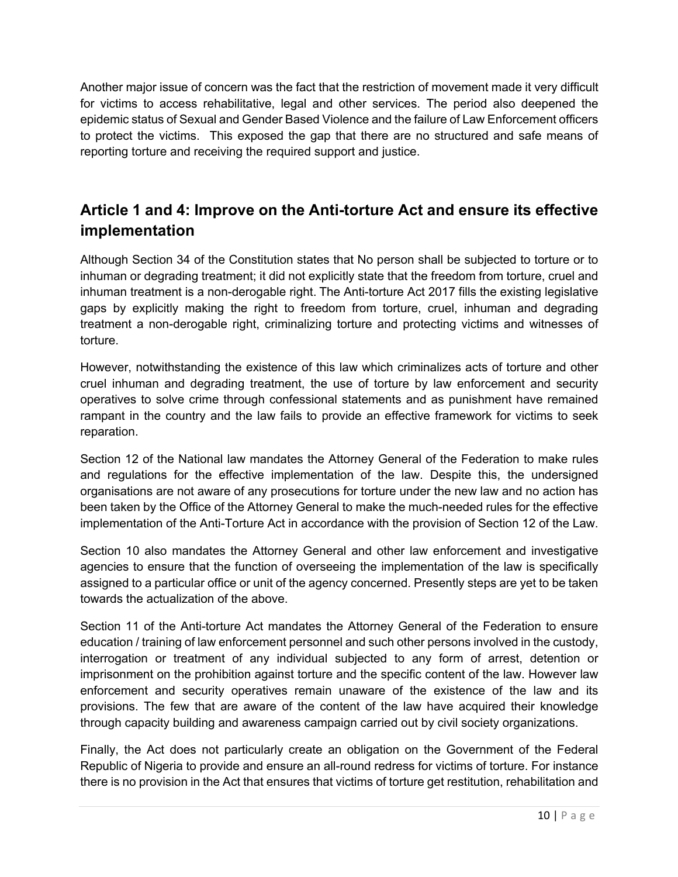Another major issue of concern was the fact that the restriction of movement made it very difficult for victims to access rehabilitative, legal and other services. The period also deepened the epidemic status of Sexual and Gender Based Violence and the failure of Law Enforcement officers to protect the victims. This exposed the gap that there are no structured and safe means of reporting torture and receiving the required support and justice.

# **Article 1 and 4: Improve on the Anti-torture Act and ensure its effective implementation**

Although Section 34 of the Constitution states that No person shall be subjected to torture or to inhuman or degrading treatment; it did not explicitly state that the freedom from torture, cruel and inhuman treatment is a non-derogable right. The Anti-torture Act 2017 fills the existing legislative gaps by explicitly making the right to freedom from torture, cruel, inhuman and degrading treatment a non-derogable right, criminalizing torture and protecting victims and witnesses of torture.

However, notwithstanding the existence of this law which criminalizes acts of torture and other cruel inhuman and degrading treatment, the use of torture by law enforcement and security operatives to solve crime through confessional statements and as punishment have remained rampant in the country and the law fails to provide an effective framework for victims to seek reparation.

Section 12 of the National law mandates the Attorney General of the Federation to make rules and regulations for the effective implementation of the law. Despite this, the undersigned organisations are not aware of any prosecutions for torture under the new law and no action has been taken by the Office of the Attorney General to make the much-needed rules for the effective implementation of the Anti-Torture Act in accordance with the provision of Section 12 of the Law.

Section 10 also mandates the Attorney General and other law enforcement and investigative agencies to ensure that the function of overseeing the implementation of the law is specifically assigned to a particular office or unit of the agency concerned. Presently steps are yet to be taken towards the actualization of the above.

Section 11 of the Anti-torture Act mandates the Attorney General of the Federation to ensure education / training of law enforcement personnel and such other persons involved in the custody, interrogation or treatment of any individual subjected to any form of arrest, detention or imprisonment on the prohibition against torture and the specific content of the law. However law enforcement and security operatives remain unaware of the existence of the law and its provisions. The few that are aware of the content of the law have acquired their knowledge through capacity building and awareness campaign carried out by civil society organizations.

Finally, the Act does not particularly create an obligation on the Government of the Federal Republic of Nigeria to provide and ensure an all-round redress for victims of torture. For instance there is no provision in the Act that ensures that victims of torture get restitution, rehabilitation and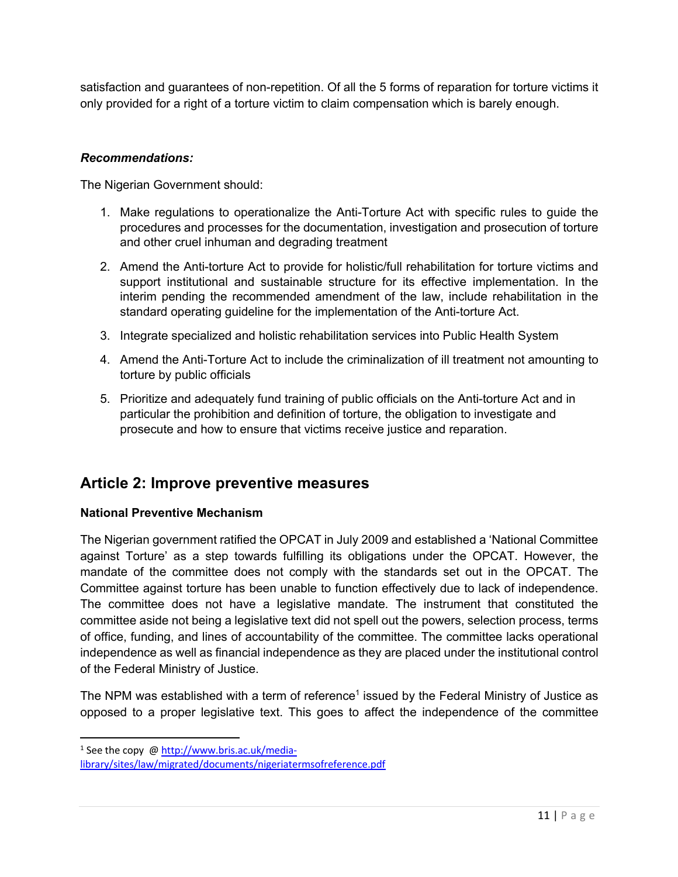satisfaction and guarantees of non-repetition. Of all the 5 forms of reparation for torture victims it only provided for a right of a torture victim to claim compensation which is barely enough.

## *Recommendations:*

The Nigerian Government should:

- 1. Make regulations to operationalize the Anti-Torture Act with specific rules to guide the procedures and processes for the documentation, investigation and prosecution of torture and other cruel inhuman and degrading treatment
- 2. Amend the Anti-torture Act to provide for holistic/full rehabilitation for torture victims and support institutional and sustainable structure for its effective implementation. In the interim pending the recommended amendment of the law, include rehabilitation in the standard operating guideline for the implementation of the Anti-torture Act.
- 3. Integrate specialized and holistic rehabilitation services into Public Health System
- 4. Amend the Anti-Torture Act to include the criminalization of ill treatment not amounting to torture by public officials
- 5. Prioritize and adequately fund training of public officials on the Anti-torture Act and in particular the prohibition and definition of torture, the obligation to investigate and prosecute and how to ensure that victims receive justice and reparation.

# **Article 2: Improve preventive measures**

#### **National Preventive Mechanism**

The Nigerian government ratified the OPCAT in July 2009 and established a 'National Committee against Torture' as a step towards fulfilling its obligations under the OPCAT. However, the mandate of the committee does not comply with the standards set out in the OPCAT. The Committee against torture has been unable to function effectively due to lack of independence. The committee does not have a legislative mandate. The instrument that constituted the committee aside not being a legislative text did not spell out the powers, selection process, terms of office, funding, and lines of accountability of the committee. The committee lacks operational independence as well as financial independence as they are placed under the institutional control of the Federal Ministry of Justice.

The NPM was established with a term of reference<sup>1</sup> issued by the Federal Ministry of Justice as opposed to a proper legislative text. This goes to affect the independence of the committee

<sup>&</sup>lt;sup>1</sup> See the copy @ http://www.bris.ac.uk/media-

library/sites/law/migrated/documents/nigeriatermsofreference.pdf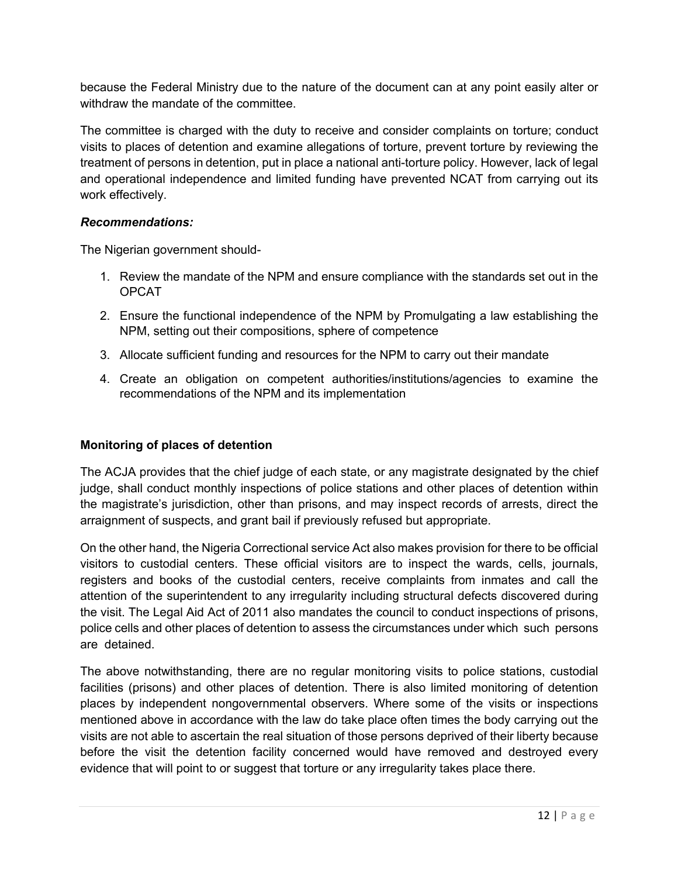because the Federal Ministry due to the nature of the document can at any point easily alter or withdraw the mandate of the committee.

The committee is charged with the duty to receive and consider complaints on torture; conduct visits to places of detention and examine allegations of torture, prevent torture by reviewing the treatment of persons in detention, put in place a national anti-torture policy. However, lack of legal and operational independence and limited funding have prevented NCAT from carrying out its work effectively.

#### *Recommendations:*

The Nigerian government should-

- 1. Review the mandate of the NPM and ensure compliance with the standards set out in the OPCAT
- 2. Ensure the functional independence of the NPM by Promulgating a law establishing the NPM, setting out their compositions, sphere of competence
- 3. Allocate sufficient funding and resources for the NPM to carry out their mandate
- 4. Create an obligation on competent authorities/institutions/agencies to examine the recommendations of the NPM and its implementation

#### **Monitoring of places of detention**

The ACJA provides that the chief judge of each state, or any magistrate designated by the chief judge, shall conduct monthly inspections of police stations and other places of detention within the magistrate's jurisdiction, other than prisons, and may inspect records of arrests, direct the arraignment of suspects, and grant bail if previously refused but appropriate.

On the other hand, the Nigeria Correctional service Act also makes provision for there to be official visitors to custodial centers. These official visitors are to inspect the wards, cells, journals, registers and books of the custodial centers, receive complaints from inmates and call the attention of the superintendent to any irregularity including structural defects discovered during the visit. The Legal Aid Act of 2011 also mandates the council to conduct inspections of prisons, police cells and other places of detention to assess the circumstances under which such persons are detained.

The above notwithstanding, there are no regular monitoring visits to police stations, custodial facilities (prisons) and other places of detention. There is also limited monitoring of detention places by independent nongovernmental observers. Where some of the visits or inspections mentioned above in accordance with the law do take place often times the body carrying out the visits are not able to ascertain the real situation of those persons deprived of their liberty because before the visit the detention facility concerned would have removed and destroyed every evidence that will point to or suggest that torture or any irregularity takes place there.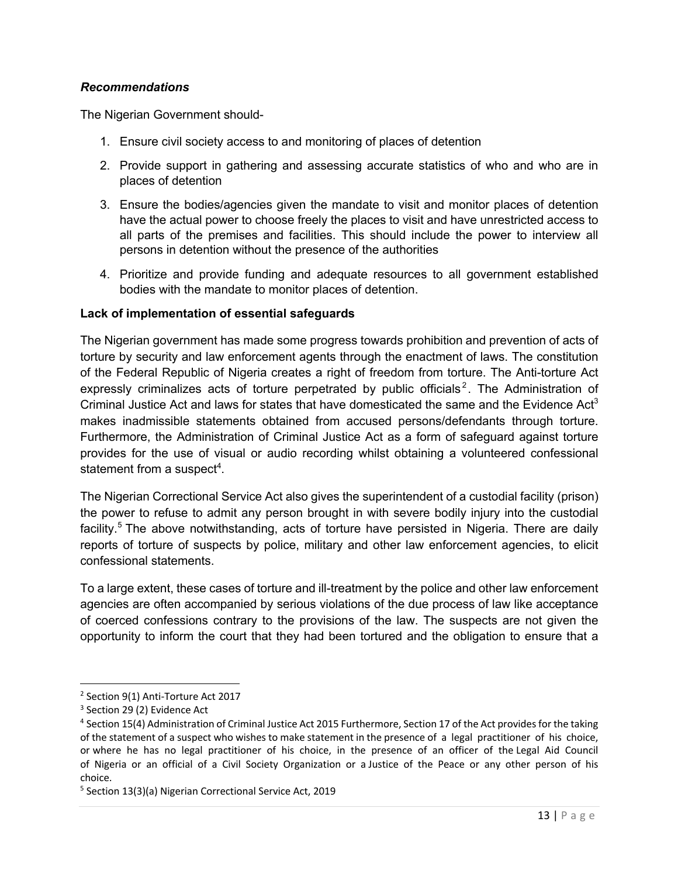#### *Recommendations*

The Nigerian Government should-

- 1. Ensure civil society access to and monitoring of places of detention
- 2. Provide support in gathering and assessing accurate statistics of who and who are in places of detention
- 3. Ensure the bodies/agencies given the mandate to visit and monitor places of detention have the actual power to choose freely the places to visit and have unrestricted access to all parts of the premises and facilities. This should include the power to interview all persons in detention without the presence of the authorities
- 4. Prioritize and provide funding and adequate resources to all government established bodies with the mandate to monitor places of detention.

#### **Lack of implementation of essential safeguards**

The Nigerian government has made some progress towards prohibition and prevention of acts of torture by security and law enforcement agents through the enactment of laws. The constitution of the Federal Republic of Nigeria creates a right of freedom from torture. The Anti-torture Act expressly criminalizes acts of torture perpetrated by public officials<sup>2</sup>. The Administration of Criminal Justice Act and laws for states that have domesticated the same and the Evidence Act<sup>3</sup> makes inadmissible statements obtained from accused persons/defendants through torture. Furthermore, the Administration of Criminal Justice Act as a form of safeguard against torture provides for the use of visual or audio recording whilst obtaining a volunteered confessional statement from a suspect<sup>4</sup>.

The Nigerian Correctional Service Act also gives the superintendent of a custodial facility (prison) the power to refuse to admit any person brought in with severe bodily injury into the custodial facility.<sup>5</sup> The above notwithstanding, acts of torture have persisted in Nigeria. There are daily reports of torture of suspects by police, military and other law enforcement agencies, to elicit confessional statements.

To a large extent, these cases of torture and ill-treatment by the police and other law enforcement agencies are often accompanied by serious violations of the due process of law like acceptance of coerced confessions contrary to the provisions of the law. The suspects are not given the opportunity to inform the court that they had been tortured and the obligation to ensure that a

<sup>2</sup> Section 9(1) Anti-Torture Act 2017

<sup>&</sup>lt;sup>3</sup> Section 29 (2) Evidence Act

<sup>4</sup> Section 15(4) Administration of Criminal Justice Act 2015 Furthermore, Section 17 of the Act provides for the taking of the statement of a suspect who wishes to make statement in the presence of a legal practitioner of his choice, or where he has no legal practitioner of his choice, in the presence of an officer of the Legal Aid Council of Nigeria or an official of a Civil Society Organization or a Justice of the Peace or any other person of his choice.

<sup>5</sup> Section 13(3)(a) Nigerian Correctional Service Act, 2019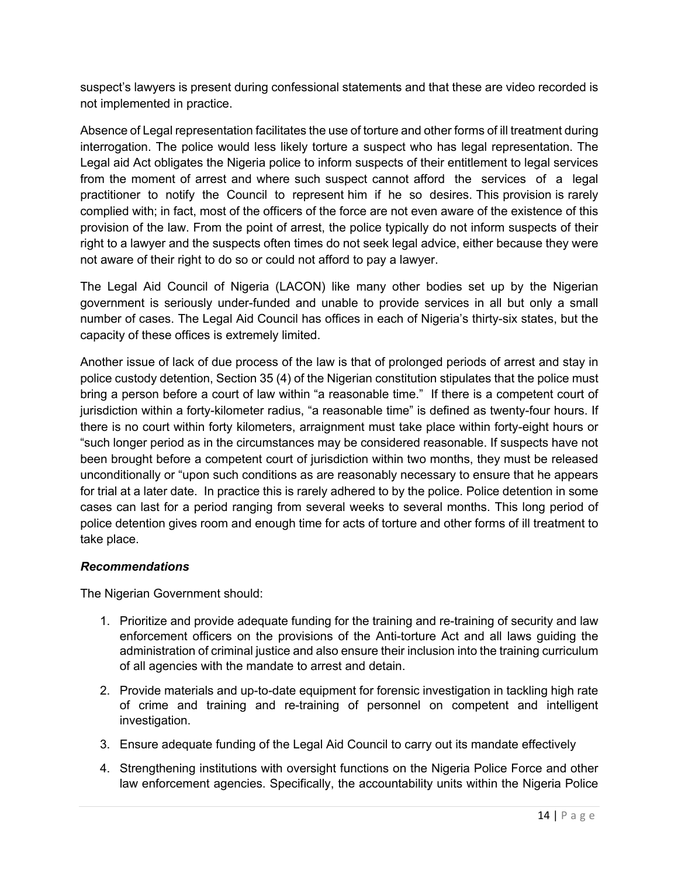suspect's lawyers is present during confessional statements and that these are video recorded is not implemented in practice.

Absence of Legal representation facilitates the use of torture and other forms of ill treatment during interrogation. The police would less likely torture a suspect who has legal representation. The Legal aid Act obligates the Nigeria police to inform suspects of their entitlement to legal services from the moment of arrest and where such suspect cannot afford the services of a legal practitioner to notify the Council to represent him if he so desires. This provision is rarely complied with; in fact, most of the officers of the force are not even aware of the existence of this provision of the law. From the point of arrest, the police typically do not inform suspects of their right to a lawyer and the suspects often times do not seek legal advice, either because they were not aware of their right to do so or could not afford to pay a lawyer.

The Legal Aid Council of Nigeria (LACON) like many other bodies set up by the Nigerian government is seriously under-funded and unable to provide services in all but only a small number of cases. The Legal Aid Council has offices in each of Nigeria's thirty-six states, but the capacity of these offices is extremely limited.

Another issue of lack of due process of the law is that of prolonged periods of arrest and stay in police custody detention, Section 35 (4) of the Nigerian constitution stipulates that the police must bring a person before a court of law within "a reasonable time." If there is a competent court of jurisdiction within a forty-kilometer radius, "a reasonable time" is defined as twenty-four hours. If there is no court within forty kilometers, arraignment must take place within forty-eight hours or "such longer period as in the circumstances may be considered reasonable. If suspects have not been brought before a competent court of jurisdiction within two months, they must be released unconditionally or "upon such conditions as are reasonably necessary to ensure that he appears for trial at a later date. In practice this is rarely adhered to by the police. Police detention in some cases can last for a period ranging from several weeks to several months. This long period of police detention gives room and enough time for acts of torture and other forms of ill treatment to take place.

#### *Recommendations*

The Nigerian Government should:

- 1. Prioritize and provide adequate funding for the training and re-training of security and law enforcement officers on the provisions of the Anti-torture Act and all laws guiding the administration of criminal justice and also ensure their inclusion into the training curriculum of all agencies with the mandate to arrest and detain.
- 2. Provide materials and up-to-date equipment for forensic investigation in tackling high rate of crime and training and re-training of personnel on competent and intelligent investigation.
- 3. Ensure adequate funding of the Legal Aid Council to carry out its mandate effectively
- 4. Strengthening institutions with oversight functions on the Nigeria Police Force and other law enforcement agencies. Specifically, the accountability units within the Nigeria Police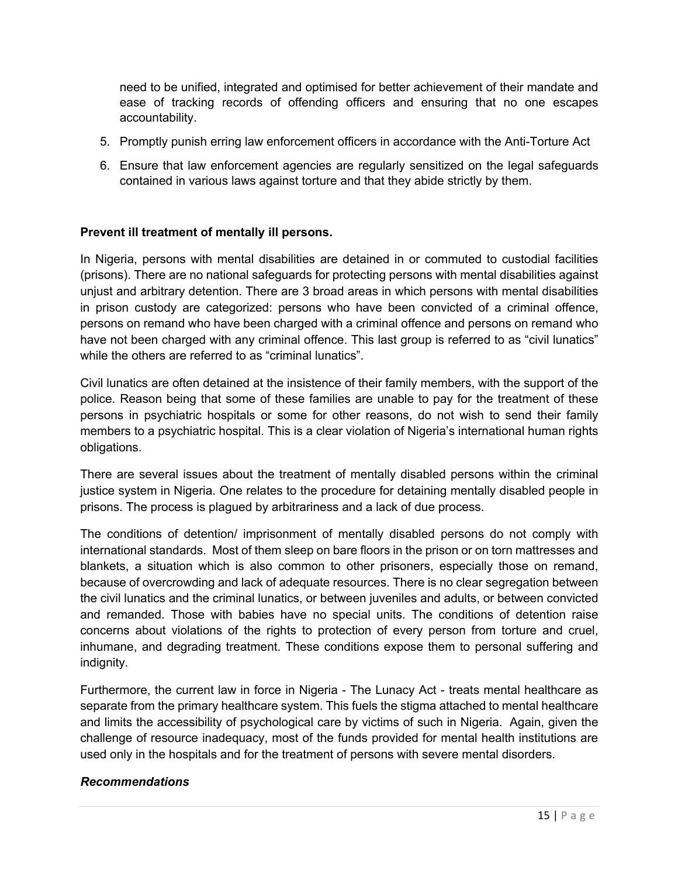need to be unified, integrated and optimised for better achievement of their mandate and ease of tracking records of offending officers and ensuring that no one escapes accountability.

- 5. Promptly punish erring law enforcement officers in accordance with the Anti-Torture Act
- 6. Ensure that law enforcement agencies are regularly sensitized on the legal safeguards contained in various laws against torture and that they abide strictly by them.

#### **Prevent ill treatment of mentally ill persons.**

In Nigeria, persons with mental disabilities are detained in or commuted to custodial facilities (prisons). There are no national safeguards for protecting persons with mental disabilities against unjust and arbitrary detention. There are 3 broad areas in which persons with mental disabilities in prison custody are categorized: persons who have been convicted of a criminal offence, persons on remand who have been charged with a criminal offence and persons on remand who have not been charged with any criminal offence. This last group is referred to as "civil lunatics" while the others are referred to as "criminal lunatics"

Civil lunatics are often detained at the insistence of their family members, with the support of the police. Reason being that some of these families are unable to pay for the treatment of these persons in psychiatric hospitals or some for other reasons, do not wish to send their family members to a psychiatric hospital. This is a clear violation of Nigeria's international human rights obligations.

There are several issues about the treatment of mentally disabled persons within the criminal justice system in Nigeria. One relates to the procedure for detaining mentally disabled people in prisons. The process is plagued by arbitrariness and a lack of due process.

The conditions of detention/ imprisonment of mentally disabled persons do not comply with international standards. Most of them sleep on bare floors in the prison or on torn mattresses and blankets, a situation which is also common to other prisoners, especially those on remand, because of overcrowding and lack of adequate resources. There is no clear segregation between the civil lunatics and the criminal lunatics, or between juveniles and adults, or between convicted and remanded. Those with babies have no special units. The conditions of detention raise concerns about violations of the rights to protection of every person from torture and cruel, inhumane, and degrading treatment. These conditions expose them to personal suffering and indignity.

Furthermore, the current law in force in Nigeria - The Lunacy Act - treats mental healthcare as separate from the primary healthcare system. This fuels the stigma attached to mental healthcare and limits the accessibility of psychological care by victims of such in Nigeria. Again, given the challenge of resource inadequacy, most of the funds provided for mental health institutions are used only in the hospitals and for the treatment of persons with severe mental disorders.

#### *Recommendations*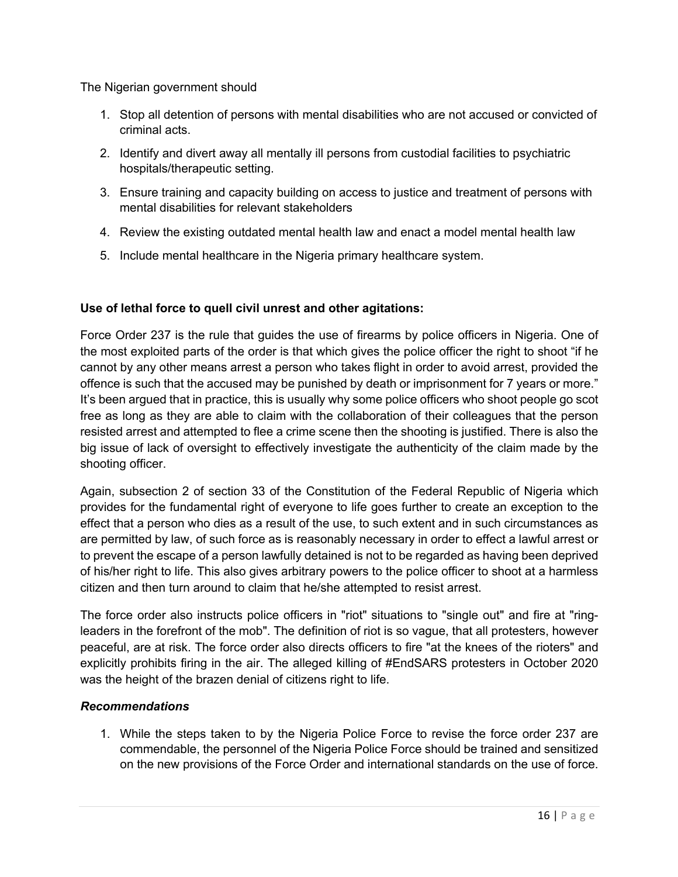The Nigerian government should

- 1. Stop all detention of persons with mental disabilities who are not accused or convicted of criminal acts.
- 2. Identify and divert away all mentally ill persons from custodial facilities to psychiatric hospitals/therapeutic setting.
- 3. Ensure training and capacity building on access to justice and treatment of persons with mental disabilities for relevant stakeholders
- 4. Review the existing outdated mental health law and enact a model mental health law
- 5. Include mental healthcare in the Nigeria primary healthcare system.

# **Use of lethal force to quell civil unrest and other agitations:**

Force Order 237 is the rule that guides the use of firearms by police officers in Nigeria. One of the most exploited parts of the order is that which gives the police officer the right to shoot "if he cannot by any other means arrest a person who takes flight in order to avoid arrest, provided the offence is such that the accused may be punished by death or imprisonment for 7 years or more." It's been argued that in practice, this is usually why some police officers who shoot people go scot free as long as they are able to claim with the collaboration of their colleagues that the person resisted arrest and attempted to flee a crime scene then the shooting is justified. There is also the big issue of lack of oversight to effectively investigate the authenticity of the claim made by the shooting officer.

Again, subsection 2 of section 33 of the Constitution of the Federal Republic of Nigeria which provides for the fundamental right of everyone to life goes further to create an exception to the effect that a person who dies as a result of the use, to such extent and in such circumstances as are permitted by law, of such force as is reasonably necessary in order to effect a lawful arrest or to prevent the escape of a person lawfully detained is not to be regarded as having been deprived of his/her right to life. This also gives arbitrary powers to the police officer to shoot at a harmless citizen and then turn around to claim that he/she attempted to resist arrest.

The force order also instructs police officers in "riot" situations to "single out" and fire at "ringleaders in the forefront of the mob". The definition of riot is so vague, that all protesters, however peaceful, are at risk. The force order also directs officers to fire "at the knees of the rioters" and explicitly prohibits firing in the air. The alleged killing of #EndSARS protesters in October 2020 was the height of the brazen denial of citizens right to life.

## *Recommendations*

1. While the steps taken to by the Nigeria Police Force to revise the force order 237 are commendable, the personnel of the Nigeria Police Force should be trained and sensitized on the new provisions of the Force Order and international standards on the use of force.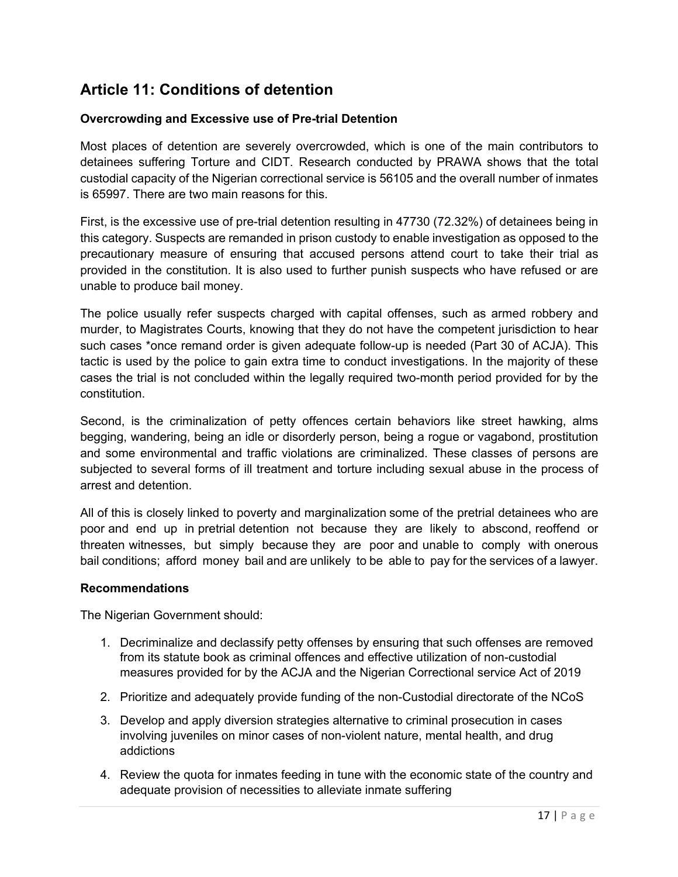# **Article 11: Conditions of detention**

### **Overcrowding and Excessive use of Pre-trial Detention**

Most places of detention are severely overcrowded, which is one of the main contributors to detainees suffering Torture and CIDT. Research conducted by PRAWA shows that the total custodial capacity of the Nigerian correctional service is 56105 and the overall number of inmates is 65997. There are two main reasons for this.

First, is the excessive use of pre-trial detention resulting in 47730 (72.32%) of detainees being in this category. Suspects are remanded in prison custody to enable investigation as opposed to the precautionary measure of ensuring that accused persons attend court to take their trial as provided in the constitution. It is also used to further punish suspects who have refused or are unable to produce bail money.

The police usually refer suspects charged with capital offenses, such as armed robbery and murder, to Magistrates Courts, knowing that they do not have the competent jurisdiction to hear such cases \*once remand order is given adequate follow-up is needed (Part 30 of ACJA). This tactic is used by the police to gain extra time to conduct investigations. In the majority of these cases the trial is not concluded within the legally required two-month period provided for by the constitution.

Second, is the criminalization of petty offences certain behaviors like street hawking, alms begging, wandering, being an idle or disorderly person, being a rogue or vagabond, prostitution and some environmental and traffic violations are criminalized. These classes of persons are subjected to several forms of ill treatment and torture including sexual abuse in the process of arrest and detention.

All of this is closely linked to poverty and marginalization some of the pretrial detainees who are poor and end up in pretrial detention not because they are likely to abscond, reoffend or threaten witnesses, but simply because they are poor and unable to comply with onerous bail conditions; afford money bail and are unlikely to be able to pay for the services of a lawyer.

#### **Recommendations**

The Nigerian Government should:

- 1. Decriminalize and declassify petty offenses by ensuring that such offenses are removed from its statute book as criminal offences and effective utilization of non-custodial measures provided for by the ACJA and the Nigerian Correctional service Act of 2019
- 2. Prioritize and adequately provide funding of the non-Custodial directorate of the NCoS
- 3. Develop and apply diversion strategies alternative to criminal prosecution in cases involving juveniles on minor cases of non-violent nature, mental health, and drug addictions
- 4. Review the quota for inmates feeding in tune with the economic state of the country and adequate provision of necessities to alleviate inmate suffering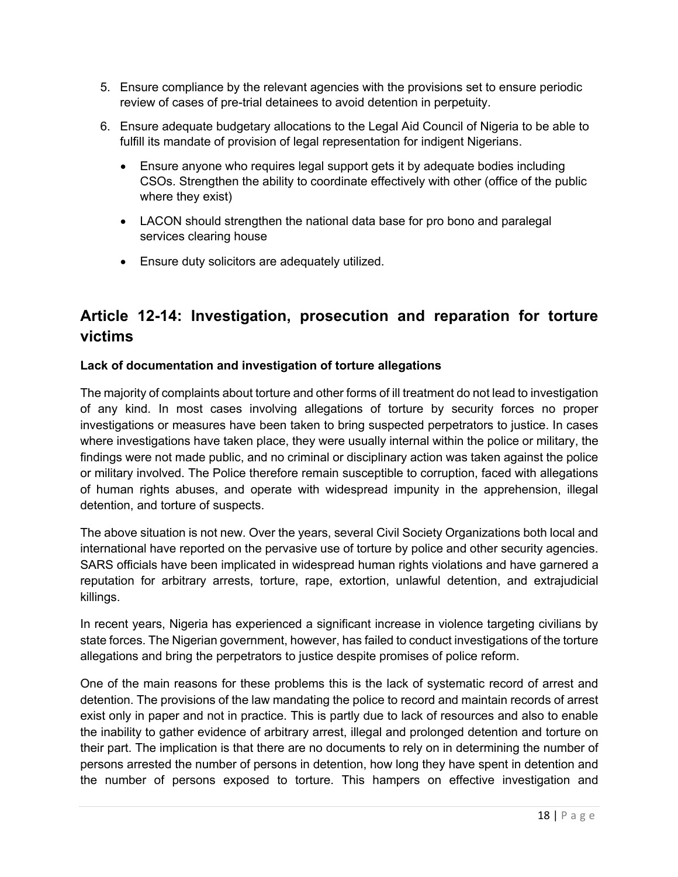- 5. Ensure compliance by the relevant agencies with the provisions set to ensure periodic review of cases of pre-trial detainees to avoid detention in perpetuity.
- 6. Ensure adequate budgetary allocations to the Legal Aid Council of Nigeria to be able to fulfill its mandate of provision of legal representation for indigent Nigerians.
	- Ensure anyone who requires legal support gets it by adequate bodies including CSOs. Strengthen the ability to coordinate effectively with other (office of the public where they exist)
	- LACON should strengthen the national data base for pro bono and paralegal services clearing house
	- Ensure duty solicitors are adequately utilized.

# **Article 12-14: Investigation, prosecution and reparation for torture victims**

## **Lack of documentation and investigation of torture allegations**

The majority of complaints about torture and other forms of ill treatment do not lead to investigation of any kind. In most cases involving allegations of torture by security forces no proper investigations or measures have been taken to bring suspected perpetrators to justice. In cases where investigations have taken place, they were usually internal within the police or military, the findings were not made public, and no criminal or disciplinary action was taken against the police or military involved. The Police therefore remain susceptible to corruption, faced with allegations of human rights abuses, and operate with widespread impunity in the apprehension, illegal detention, and torture of suspects.

The above situation is not new. Over the years, several Civil Society Organizations both local and international have reported on the pervasive use of torture by police and other security agencies. SARS officials have been implicated in widespread human rights violations and have garnered a reputation for arbitrary arrests, torture, rape, extortion, unlawful detention, and extrajudicial killings.

In recent years, Nigeria has experienced a significant increase in violence targeting civilians by state forces. The Nigerian government, however, has failed to conduct investigations of the torture allegations and bring the perpetrators to justice despite promises of police reform.

One of the main reasons for these problems this is the lack of systematic record of arrest and detention. The provisions of the law mandating the police to record and maintain records of arrest exist only in paper and not in practice. This is partly due to lack of resources and also to enable the inability to gather evidence of arbitrary arrest, illegal and prolonged detention and torture on their part. The implication is that there are no documents to rely on in determining the number of persons arrested the number of persons in detention, how long they have spent in detention and the number of persons exposed to torture. This hampers on effective investigation and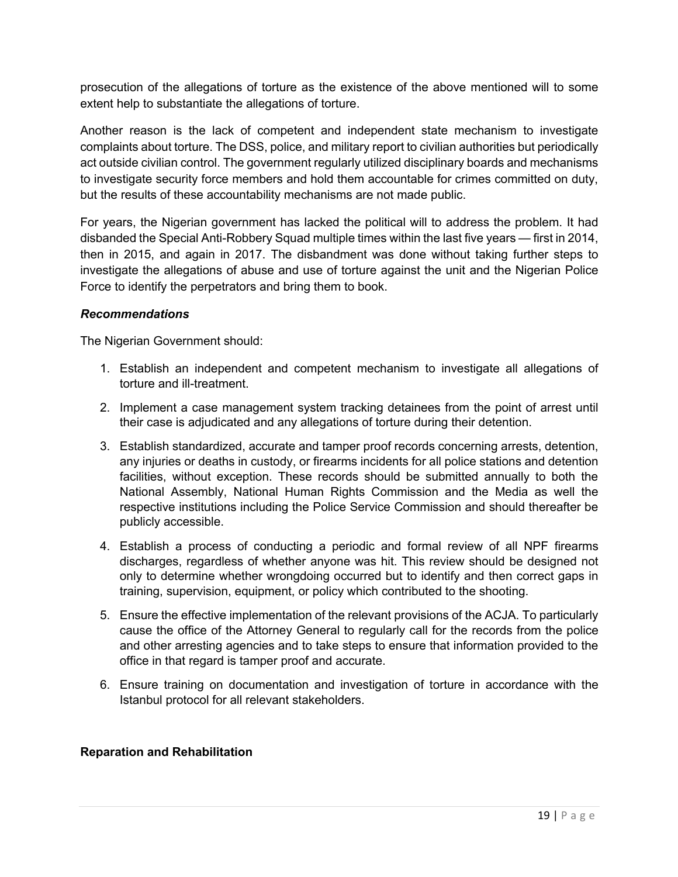prosecution of the allegations of torture as the existence of the above mentioned will to some extent help to substantiate the allegations of torture.

Another reason is the lack of competent and independent state mechanism to investigate complaints about torture. The DSS, police, and military report to civilian authorities but periodically act outside civilian control. The government regularly utilized disciplinary boards and mechanisms to investigate security force members and hold them accountable for crimes committed on duty, but the results of these accountability mechanisms are not made public.

For years, the Nigerian government has lacked the political will to address the problem. It had disbanded the Special Anti-Robbery Squad multiple times within the last five years — first in 2014, then in 2015, and again in 2017. The disbandment was done without taking further steps to investigate the allegations of abuse and use of torture against the unit and the Nigerian Police Force to identify the perpetrators and bring them to book.

#### *Recommendations*

The Nigerian Government should:

- 1. Establish an independent and competent mechanism to investigate all allegations of torture and ill-treatment.
- 2. Implement a case management system tracking detainees from the point of arrest until their case is adjudicated and any allegations of torture during their detention.
- 3. Establish standardized, accurate and tamper proof records concerning arrests, detention, any injuries or deaths in custody, or firearms incidents for all police stations and detention facilities, without exception. These records should be submitted annually to both the National Assembly, National Human Rights Commission and the Media as well the respective institutions including the Police Service Commission and should thereafter be publicly accessible.
- 4. Establish a process of conducting a periodic and formal review of all NPF firearms discharges, regardless of whether anyone was hit. This review should be designed not only to determine whether wrongdoing occurred but to identify and then correct gaps in training, supervision, equipment, or policy which contributed to the shooting.
- 5. Ensure the effective implementation of the relevant provisions of the ACJA. To particularly cause the office of the Attorney General to regularly call for the records from the police and other arresting agencies and to take steps to ensure that information provided to the office in that regard is tamper proof and accurate.
- 6. Ensure training on documentation and investigation of torture in accordance with the Istanbul protocol for all relevant stakeholders.

#### **Reparation and Rehabilitation**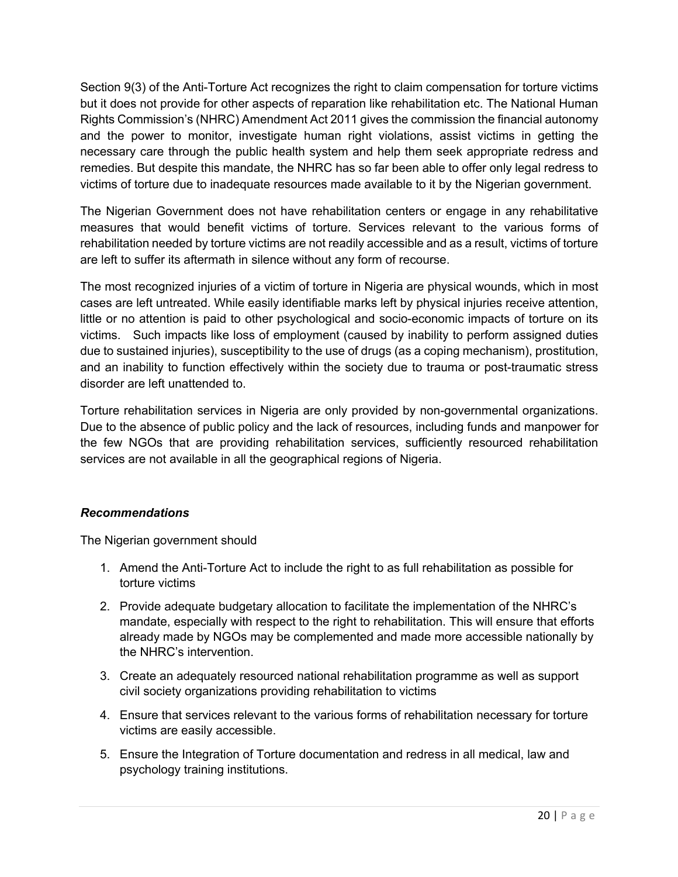Section 9(3) of the Anti-Torture Act recognizes the right to claim compensation for torture victims but it does not provide for other aspects of reparation like rehabilitation etc. The National Human Rights Commission's (NHRC) Amendment Act 2011 gives the commission the financial autonomy and the power to monitor, investigate human right violations, assist victims in getting the necessary care through the public health system and help them seek appropriate redress and remedies. But despite this mandate, the NHRC has so far been able to offer only legal redress to victims of torture due to inadequate resources made available to it by the Nigerian government.

The Nigerian Government does not have rehabilitation centers or engage in any rehabilitative measures that would benefit victims of torture. Services relevant to the various forms of rehabilitation needed by torture victims are not readily accessible and as a result, victims of torture are left to suffer its aftermath in silence without any form of recourse.

The most recognized injuries of a victim of torture in Nigeria are physical wounds, which in most cases are left untreated. While easily identifiable marks left by physical injuries receive attention, little or no attention is paid to other psychological and socio-economic impacts of torture on its victims. Such impacts like loss of employment (caused by inability to perform assigned duties due to sustained injuries), susceptibility to the use of drugs (as a coping mechanism), prostitution, and an inability to function effectively within the society due to trauma or post-traumatic stress disorder are left unattended to.

Torture rehabilitation services in Nigeria are only provided by non-governmental organizations. Due to the absence of public policy and the lack of resources, including funds and manpower for the few NGOs that are providing rehabilitation services, sufficiently resourced rehabilitation services are not available in all the geographical regions of Nigeria.

## *Recommendations*

The Nigerian government should

- 1. Amend the Anti-Torture Act to include the right to as full rehabilitation as possible for torture victims
- 2. Provide adequate budgetary allocation to facilitate the implementation of the NHRC's mandate, especially with respect to the right to rehabilitation. This will ensure that efforts already made by NGOs may be complemented and made more accessible nationally by the NHRC's intervention.
- 3. Create an adequately resourced national rehabilitation programme as well as support civil society organizations providing rehabilitation to victims
- 4. Ensure that services relevant to the various forms of rehabilitation necessary for torture victims are easily accessible.
- 5. Ensure the Integration of Torture documentation and redress in all medical, law and psychology training institutions.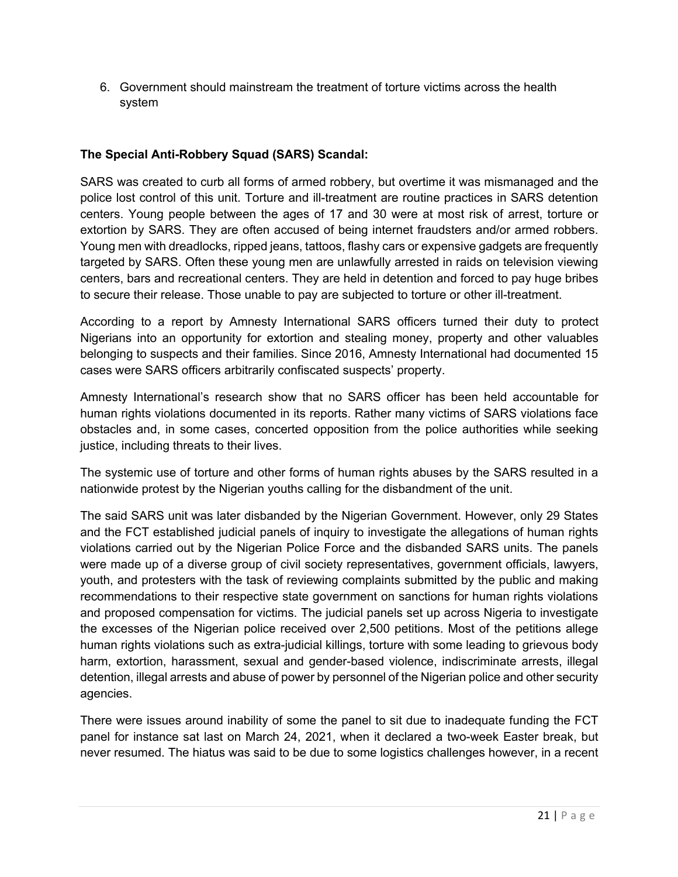6. Government should mainstream the treatment of torture victims across the health system

# **The Special Anti-Robbery Squad (SARS) Scandal:**

SARS was created to curb all forms of armed robbery, but overtime it was mismanaged and the police lost control of this unit. Torture and ill-treatment are routine practices in SARS detention centers. Young people between the ages of 17 and 30 were at most risk of arrest, torture or extortion by SARS. They are often accused of being internet fraudsters and/or armed robbers. Young men with dreadlocks, ripped jeans, tattoos, flashy cars or expensive gadgets are frequently targeted by SARS. Often these young men are unlawfully arrested in raids on television viewing centers, bars and recreational centers. They are held in detention and forced to pay huge bribes to secure their release. Those unable to pay are subjected to torture or other ill-treatment.

According to a report by Amnesty International SARS officers turned their duty to protect Nigerians into an opportunity for extortion and stealing money, property and other valuables belonging to suspects and their families. Since 2016, Amnesty International had documented 15 cases were SARS officers arbitrarily confiscated suspects' property.

Amnesty International's research show that no SARS officer has been held accountable for human rights violations documented in its reports. Rather many victims of SARS violations face obstacles and, in some cases, concerted opposition from the police authorities while seeking justice, including threats to their lives.

The systemic use of torture and other forms of human rights abuses by the SARS resulted in a nationwide protest by the Nigerian youths calling for the disbandment of the unit.

The said SARS unit was later disbanded by the Nigerian Government. However, only 29 States and the FCT established judicial panels of inquiry to investigate the allegations of human rights violations carried out by the Nigerian Police Force and the disbanded SARS units. The panels were made up of a diverse group of civil society representatives, government officials, lawyers, youth, and protesters with the task of reviewing complaints submitted by the public and making recommendations to their respective state government on sanctions for human rights violations and proposed compensation for victims. The judicial panels set up across Nigeria to investigate the excesses of the Nigerian police received over 2,500 petitions. Most of the petitions allege human rights violations such as extra-judicial killings, torture with some leading to grievous body harm, extortion, harassment, sexual and gender-based violence, indiscriminate arrests, illegal detention, illegal arrests and abuse of power by personnel of the Nigerian police and other security agencies.

There were issues around inability of some the panel to sit due to inadequate funding the FCT panel for instance sat last on March 24, 2021, when it declared a two-week Easter break, but never resumed. The hiatus was said to be due to some logistics challenges however, in a recent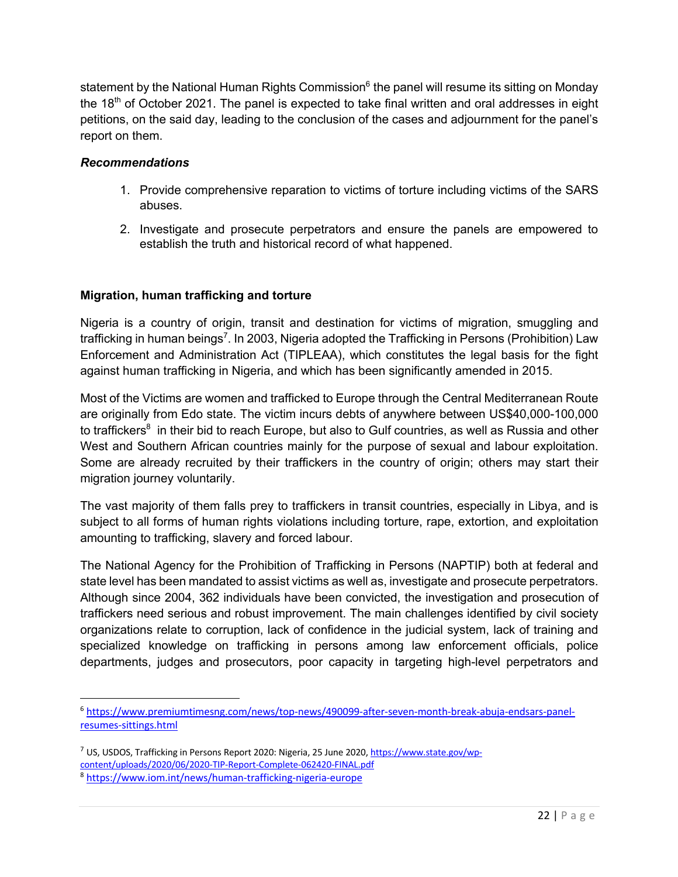statement by the National Human Rights Commission<sup>6</sup> the panel will resume its sitting on Monday the  $18<sup>th</sup>$  of October 2021. The panel is expected to take final written and oral addresses in eight petitions, on the said day, leading to the conclusion of the cases and adjournment for the panel's report on them.

#### *Recommendations*

- 1. Provide comprehensive reparation to victims of torture including victims of the SARS abuses.
- 2. Investigate and prosecute perpetrators and ensure the panels are empowered to establish the truth and historical record of what happened.

## **Migration, human trafficking and torture**

Nigeria is a country of origin, transit and destination for victims of migration, smuggling and trafficking in human beings<sup>7</sup>. In 2003, Nigeria adopted the Trafficking in Persons (Prohibition) Law Enforcement and Administration Act (TIPLEAA), which constitutes the legal basis for the fight against human trafficking in Nigeria, and which has been significantly amended in 2015.

Most of the Victims are women and trafficked to Europe through the Central Mediterranean Route are originally from Edo state. The victim incurs debts of anywhere between US\$40,000-100,000 to traffickers $^8$  in their bid to reach Europe, but also to Gulf countries, as well as Russia and other West and Southern African countries mainly for the purpose of sexual and labour exploitation. Some are already recruited by their traffickers in the country of origin; others may start their migration journey voluntarily.

The vast majority of them falls prey to traffickers in transit countries, especially in Libya, and is subject to all forms of human rights violations including torture, rape, extortion, and exploitation amounting to trafficking, slavery and forced labour.

The National Agency for the Prohibition of Trafficking in Persons (NAPTIP) both at federal and state level has been mandated to assist victims as well as, investigate and prosecute perpetrators. Although since 2004, 362 individuals have been convicted, the investigation and prosecution of traffickers need serious and robust improvement. The main challenges identified by civil society organizations relate to corruption, lack of confidence in the judicial system, lack of training and specialized knowledge on trafficking in persons among law enforcement officials, police departments, judges and prosecutors, poor capacity in targeting high-level perpetrators and

<sup>6</sup> https://www.premiumtimesng.com/news/top-news/490099-after-seven-month-break-abuja-endsars-panelresumes-sittings.html

<sup>7</sup> US, USDOS, Trafficking in Persons Report 2020: Nigeria, 25 June 2020, https://www.state.gov/wpcontent/uploads/2020/06/2020-TIP-Report-Complete-062420-FINAL.pdf

<sup>8</sup> https://www.iom.int/news/human-trafficking-nigeria-europe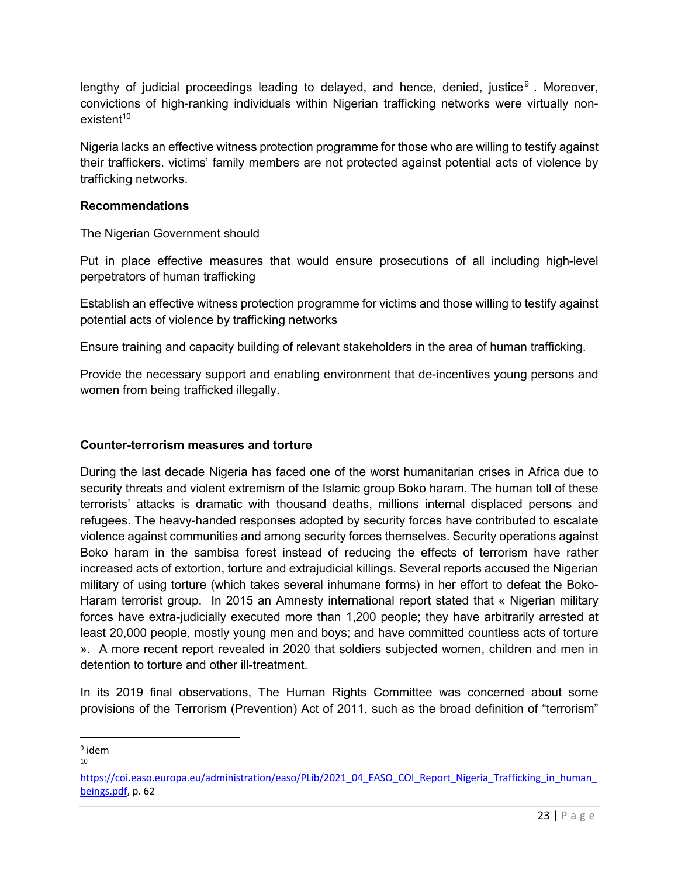lengthy of judicial proceedings leading to delayed, and hence, denied, justice<sup>9</sup>. Moreover, convictions of high-ranking individuals within Nigerian trafficking networks were virtually non $existent<sup>10</sup>$ 

Nigeria lacks an effective witness protection programme for those who are willing to testify against their traffickers. victims' family members are not protected against potential acts of violence by trafficking networks.

#### **Recommendations**

The Nigerian Government should

Put in place effective measures that would ensure prosecutions of all including high-level perpetrators of human trafficking

Establish an effective witness protection programme for victims and those willing to testify against potential acts of violence by trafficking networks

Ensure training and capacity building of relevant stakeholders in the area of human trafficking.

Provide the necessary support and enabling environment that de-incentives young persons and women from being trafficked illegally.

## **Counter-terrorism measures and torture**

During the last decade Nigeria has faced one of the worst humanitarian crises in Africa due to security threats and violent extremism of the Islamic group Boko haram. The human toll of these terrorists' attacks is dramatic with thousand deaths, millions internal displaced persons and refugees. The heavy-handed responses adopted by security forces have contributed to escalate violence against communities and among security forces themselves. Security operations against Boko haram in the sambisa forest instead of reducing the effects of terrorism have rather increased acts of extortion, torture and extrajudicial killings. Several reports accused the Nigerian military of using torture (which takes several inhumane forms) in her effort to defeat the Boko-Haram terrorist group. In 2015 an Amnesty international report stated that « Nigerian military forces have extra-judicially executed more than 1,200 people; they have arbitrarily arrested at least 20,000 people, mostly young men and boys; and have committed countless acts of torture ». A more recent report revealed in 2020 that soldiers subjected women, children and men in detention to torture and other ill-treatment.

In its 2019 final observations, The Human Rights Committee was concerned about some provisions of the Terrorism (Prevention) Act of 2011, such as the broad definition of "terrorism"

 $9$  idem

<sup>10</sup>

https://coi.easo.europa.eu/administration/easo/PLib/2021\_04\_EASO\_COI\_Report\_Nigeria\_Trafficking\_in\_human beings.pdf, p. 62